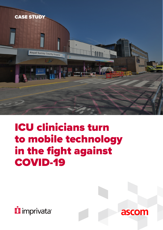

## ICU clinicians turn to mobile technology in the fight against COVID-19



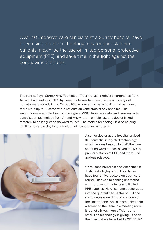Over 40 intensive care clinicians at a Surrey hospital have been using mobile technology to safeguard staff and patients, maximise the use of limited personal protective equipment (PPE), and save time in the fight against the coronavirus outbreak.

The staff at Royal Surrey NHS Foundation Trust are using robust smartphones from Ascom that meet strict NHS hygiene guidelines to communicate and carry out 'remote' ward rounds in the 24-bed ICU, where at the early peak of the pandemic there were up to 18 coronavirus patients on ventilators at any one time. The smartphones – enabled with single sign-on (SSO) from Imprivata, and two-way video consultation technology from Attend Anywhere – enable just one doctor linked remotely to colleagues to do ward rounds. The mobile technology is also helping relatives to safely stay in touch with their loved ones in hospital.



A senior doctor at the hospital praised the 'fantastic' integrated technology, which he says has cut, by half, the time spent on ward rounds, saved the ICU's precious stocks of PPE, and reassured anxious relatives.

Consultant Intensivist and Anaesthetist Justin Kirk-Bayley said: "Usually we have four or five doctors on each ward round. That was becoming impractical with coronavirus patients and limited PPE supplies. Now, just one doctor goes into the quarantined sector of ICU and coordinates a ward round via video on the smartphone, which is projected onto a screen to the team in a meeting room. It is a lot slicker, more efficient, and safer. The technology is giving us back the time that we have lost to COVID-19."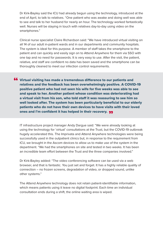Dr Kirk-Bayley said the ICU had already begun using the technology, introduced at the end of April, to talk to relatives. "One patient who was awake and doing well was able to see and talk to her husband for nearly an hour. The technology worked fantastically well. Nurses will be staying in touch with relatives day-to-day using video on the smartphones."

Clinical nurse specialist Claire Richardson said: "We have introduced virtual visiting on all 14 of our adult in-patient wards and in our departments and community hospitals. The system is ideal for this purpose. A member of staff takes the smartphone to the patient and can quickly and easily sign on to Attend Anywhere for them via SSO with one tap and no need for passwords. It is very easy to use. After the visit, the patient, relative, and staff are confident no data has been saved and the smartphone can be thoroughly cleaned to meet our infection control requirements.

Virtual visiting has made a tremendous difference to our patients and " relatives and the feedback has been overwhelmingly positive. A COVID-19 positive patient who had not seen his wife for five weeks was able to see and speak to her. Another patient whose condition was deteriorating had a virtual visit from his son, who told staff it was reassuring to see him so well looked after. The system has been particularly beneficial to our elderly patients who do not have their own devices to have visits with their loved ones and I'm confident it has helped in their recovery. و•<br>•

IT infrastructure project manager Andy Dargue said: "We were already looking at using the technology for 'virtual' consultations at the Trust, but the COVID-19 outbreak hugely accelerated this. The Imprivata and Attend Anywhere technologies were being successfully used in the outpatient clinics but, in response to the requirement from ICU, we brought in the Ascom devices to allow us to make use of the system in the department. "We had the smartphones on site and tested in two weeks. It has been an incredible team effort between the Trust and the three companies involved."

Dr Kirk-Bayley added: "The video conferencing software can be used via a web browser, and that is fantastic. You just set and forget. It has a highly reliable quality of connection – no frozen screens, degradation of video, or dropped sound, unlike other systems."

The Attend Anywhere technology does not retain patient-identifiable information, which means patients using it leave no digital footprint. Each time an individual consultation ends during a shift, the online waiting area is wiped.